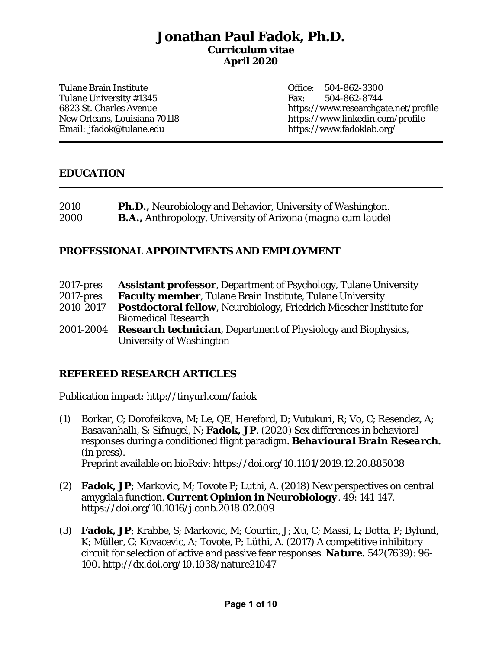# **Jonathan Paul Fadok, Ph.D. Curriculum vitae April 2020**

Tulane Brain Institute Tulane University #1345 6823 St. Charles Avenue New Orleans, Louisiana 70118 Email: jfadok@tulane.edu

Office: 504-862-3300 Fax: 504-862-8744 https://www.researchgate.net/profile https://www.linkedin.com/profile https://www.fadoklab.org/

### **EDUCATION**

| 2010 | <b>Ph.D., Neurobiology and Behavior, University of Washington.</b>          |
|------|-----------------------------------------------------------------------------|
| 2000 | <b>B.A., Anthropology, University of Arizona</b> ( <i>magna cum laude</i> ) |

### **PROFESSIONAL APPOINTMENTS AND EMPLOYMENT**

| $2017$ -pres | <b>Assistant professor, Department of Psychology, Tulane University</b>    |
|--------------|----------------------------------------------------------------------------|
| $2017$ -pres | Faculty member, Tulane Brain Institute, Tulane University                  |
| 2010-2017    | <b>Postdoctoral fellow, Neurobiology, Friedrich Miescher Institute for</b> |
|              | <b>Biomedical Research</b>                                                 |
| 2001-2004    | <b>Research technician</b> , Department of Physiology and Biophysics,      |
|              | University of Washington                                                   |

### **REFEREED RESEARCH ARTICLES**

Publication impact: http://tinyurl.com/fadok

- (1) Borkar, C; Dorofeikova, M; Le, QE, Hereford, D; Vutukuri, R; Vo, C; Resendez, A; Basavanhalli, S; Sifnugel, N; **Fadok, JP**. (2020) Sex differences in behavioral responses during a conditioned flight paradigm. *Behavioural Brain Research.*  (in press). Preprint available on bioRxiv: https://doi.org/10.1101/2019.12.20.885038
- (2) **Fadok, JP**; Markovic, M; Tovote P; Luthi, A. (2018) New perspectives on central amygdala function. *Current Opinion in Neurobiology*. 49: 141-147. https://doi.org/10.1016/j.conb.2018.02.009
- (3) **Fadok, JP**; Krabbe, S; Markovic, M; Courtin, J; Xu, C; Massi, L; Botta, P; Bylund, K; Müller, C; Kovacevic, A; Tovote, P; Lüthi, A. (2017) A competitive inhibitory circuit for selection of active and passive fear responses. *Nature***.** 542(7639): 96- 100. http://dx.doi.org/10.1038/nature21047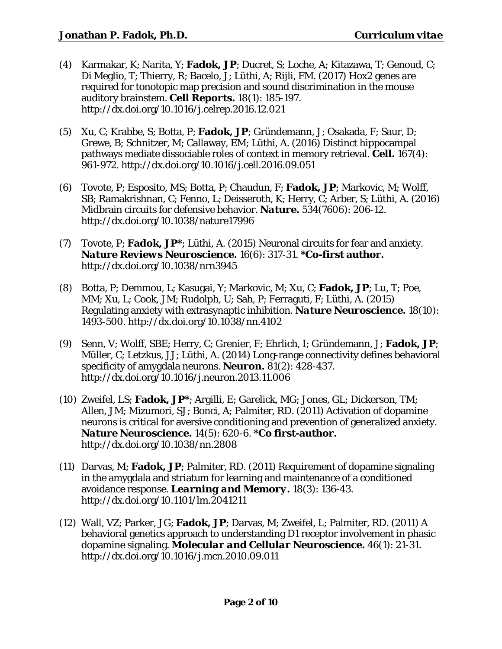- (4) Karmakar, K; Narita, Y; **Fadok, JP**; Ducret, S; Loche, A; Kitazawa, T; Genoud, C; Di Meglio, T; Thierry, R; Bacelo, J; Lüthi, A; Rijli, FM. (2017) *Hox2* genes are required for tonotopic map precision and sound discrimination in the mouse auditory brainstem. *Cell Reports.* 18(1): 185-197. http://dx.doi.org/10.1016/j.celrep.2016.12.021
- (5) Xu, C; Krabbe, S; Botta, P; **Fadok, JP**; Gründemann, J; Osakada, F; Saur, D; Grewe, B; Schnitzer, M; Callaway, EM; Lüthi, A. (2016) Distinct hippocampal pathways mediate dissociable roles of context in memory retrieval. *Cell.* 167(4): 961-972. http://dx.doi.org/10.1016/j.cell.2016.09.051
- (6) Tovote, P; Esposito, MS; Botta, P; Chaudun, F; **Fadok, JP**; Markovic, M; Wolff, SB; Ramakrishnan, C; Fenno, L; Deisseroth, K; Herry, C; Arber, S; Lüthi, A. (2016) Midbrain circuits for defensive behavior. *Nature.* 534(7606): 206-12. http://dx.doi.org/10.1038/nature17996
- (7) Tovote, P; **Fadok, JP\***; Lüthi, A. (2015) Neuronal circuits for fear and anxiety. *Nature Reviews Neuroscience.* 16(6): 317-31. **\*Co-first author.**  http://dx.doi.org/10.1038/nrn3945
- (8) Botta, P; Demmou, L; Kasugai, Y; Markovic, M; Xu, C; **Fadok, JP**; Lu, T; Poe, MM; Xu, L; Cook, JM; Rudolph, U; Sah, P; Ferraguti, F; Lüthi, A. (2015) Regulating anxiety with extrasynaptic inhibition. *Nature Neuroscience.* 18(10): 1493-500. http://dx.doi.org/10.1038/nn.4102
- (9) Senn, V; Wolff, SBE; Herry, C; Grenier, F; Ehrlich, I; Gründemann, J; **Fadok, JP**; Müller, C; Letzkus, JJ; Lüthi, A. (2014) Long-range connectivity defines behavioral specificity of amygdala neurons. *Neuron.* 81(2): 428-437. http://dx.doi.org/10.1016/j.neuron.2013.11.006
- (10) Zweifel, LS; **Fadok, JP\***; Argilli, E; Garelick, MG; Jones, GL; Dickerson, TM; Allen, JM; Mizumori, SJ; Bonci, A; Palmiter, RD. (2011) Activation of dopamine neurons is critical for aversive conditioning and prevention of generalized anxiety. *Nature Neuroscience.* 14(5): 620-6. **\*Co first-author.** http://dx.doi.org/10.1038/nn.2808
- (11) Darvas, M; **Fadok, JP**; Palmiter, RD. (2011) Requirement of dopamine signaling in the amygdala and striatum for learning and maintenance of a conditioned avoidance response. *Learning and Memory.* 18(3): 136-43. http://dx.doi.org/10.1101/lm.2041211
- (12) Wall, VZ; Parker, JG; **Fadok, JP**; Darvas, M; Zweifel, L; Palmiter, RD. (2011) A behavioral genetics approach to understanding D1 receptor involvement in phasic dopamine signaling. *Molecular and Cellular Neuroscience.* 46(1): 21-31. http://dx.doi.org/10.1016/j.mcn.2010.09.011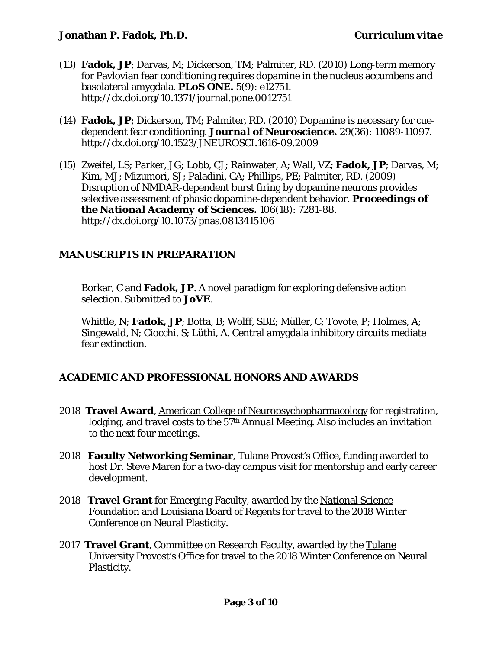- (13) **Fadok, JP**; Darvas, M; Dickerson, TM; Palmiter, RD. (2010) Long-term memory for Pavlovian fear conditioning requires dopamine in the nucleus accumbens and basolateral amygdala. *PLoS ONE.* 5(9): e12751. http://dx.doi.org/10.1371/journal.pone.0012751
- (14) **Fadok, JP**; Dickerson, TM; Palmiter, RD. (2010) Dopamine is necessary for cuedependent fear conditioning. *Journal of Neuroscience.* 29(36): 11089-11097. http://dx.doi.org/10.1523/JNEUROSCI.1616-09.2009
- (15) Zweifel, LS; Parker, JG; Lobb, CJ; Rainwater, A; Wall, VZ; **Fadok, JP**; Darvas, M; Kim, MJ; Mizumori, SJ; Paladini, CA; Phillips, PE; Palmiter, RD. (2009) Disruption of NMDAR-dependent burst firing by dopamine neurons provides selective assessment of phasic dopamine-dependent behavior. *Proceedings of the National Academy of Sciences.* 106(18): 7281-88. http://dx.doi.org/10.1073/pnas.0813415106

# **MANUSCRIPTS IN PREPARATION**

Borkar, C and **Fadok, JP**. A novel paradigm for exploring defensive action selection. Submitted to *JoVE*.

Whittle, N; **Fadok, JP**; Botta, B; Wolff, SBE; Müller, C; Tovote, P; Holmes, A; Singewald, N; Ciocchi, S; Lüthi, A. Central amygdala inhibitory circuits mediate fear extinction.

# **ACADEMIC AND PROFESSIONAL HONORS AND AWARDS**

- 2018 **Travel Award**, American College of Neuropsychopharmacology for registration, lodging, and travel costs to the  $57<sup>th</sup>$  Annual Meeting. Also includes an invitation to the next four meetings.
- 2018 **Faculty Networking Seminar**, Tulane Provost's Office, funding awarded to host Dr. Steve Maren for a two-day campus visit for mentorship and early career development.
- 2018 **Travel Grant** for Emerging Faculty, awarded by the National Science Foundation and Louisiana Board of Regents for travel to the 2018 Winter Conference on Neural Plasticity.
- 2017 **Travel Grant**, Committee on Research Faculty, awarded by the Tulane University Provost's Office for travel to the 2018 Winter Conference on Neural Plasticity.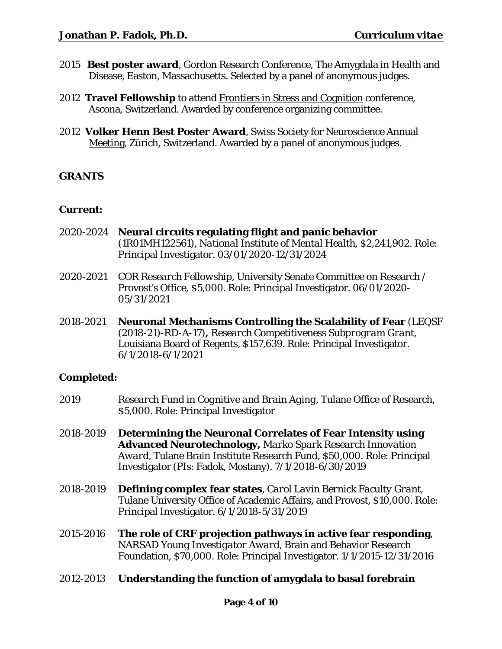- 2015 **Best poster award**, Gordon Research Conference, The Amygdala in Health and Disease, Easton, Massachusetts. Selected by a panel of anonymous judges.
- 2012 **Travel Fellowship** to attend Frontiers in Stress and Cognition conference, Ascona, Switzerland. Awarded by conference organizing committee.
- 2012 **Volker Henn Best Poster Award**, Swiss Society for Neuroscience Annual Meeting, Zürich, Switzerland. Awarded by a panel of anonymous judges.

### **GRANTS**

#### **Current:**

- 2020-2024 **Neural circuits regulating flight and panic behavior** (1R01MH122561), *National Institute of Mental Health,* \$2,241,902. Role: Principal Investigator. 03/01/2020-12/31/2024
- 2020-2021 *COR Research Fellowship*, University Senate Committee on Research / Provost's Office, \$5,000. Role: Principal Investigator. 06/01/2020- 05/31/2021
- 2018-2021 **Neuronal Mechanisms Controlling the Scalability of Fear** (LEQSF (2018-21)-RD-A-17)**,** *Research Competitiveness Subprogram Grant*, Louisiana Board of Regents, \$157,639. Role: Principal Investigator. 6/1/2018-6/1/2021

#### **Completed:**

- 2019 *Research Fund in Cognitive and Brain Aging*, Tulane Office of Research, \$5,000. Role: Principal Investigator
- 2018-2019 **Determining the Neuronal Correlates of Fear Intensity using Advanced Neurotechnology,** *Marko Spark Research Innovation Award,* Tulane Brain Institute Research Fund, \$50,000. Role: Principal Investigator (PIs: Fadok, Mostany). 7/1/2018-6/30/2019
- 2018-2019 **Defining complex fear states**, *Carol Lavin Bernick Faculty Grant*, Tulane University Office of Academic Affairs, and Provost, \$10,000. Role: Principal Investigator. 6/1/2018-5/31/2019
- 2015-2016 **The role of CRF projection pathways in active fear responding**, *NARSAD Young Investigator Award*, Brain and Behavior Research Foundation, \$70,000. Role: Principal Investigator. 1/1/2015-12/31/2016
- 2012-2013 **Understanding the function of amygdala to basal forebrain**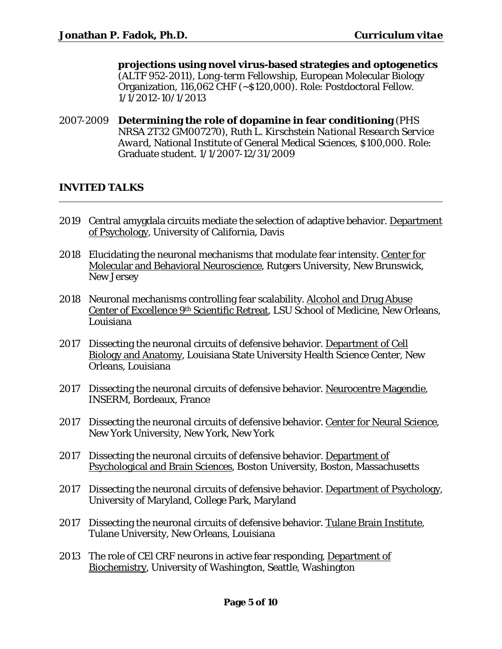**projections using novel virus-based strategies and optogenetics** (ALTF 952-2011), *Long-term Fellowship,* European Molecular Biology Organization, 116,062 CHF (~\$120,000). Role: Postdoctoral Fellow. 1/1/2012-10/1/2013

2007-2009 **Determining the role of dopamine in fear conditioning** (PHS NRSA 2T32 GM007270), *Ruth L. Kirschstein National Research Service Award,* National Institute of General Medical Sciences, \$100,000. Role: Graduate student. 1/1/2007-12/31/2009

### **INVITED TALKS**

- 2019 Central amygdala circuits mediate the selection of adaptive behavior. Department of Psychology, University of California, Davis
- 2018 Elucidating the neuronal mechanisms that modulate fear intensity. Center for Molecular and Behavioral Neuroscience, Rutgers University, New Brunswick, New Jersey
- 2018 Neuronal mechanisms controlling fear scalability. Alcohol and Drug Abuse Center of Excellence 9th Scientific Retreat, LSU School of Medicine, New Orleans, Louisiana
- 2017 Dissecting the neuronal circuits of defensive behavior. Department of Cell Biology and Anatomy, Louisiana State University Health Science Center, New Orleans, Louisiana
- 2017 Dissecting the neuronal circuits of defensive behavior. Neurocentre Magendie, INSERM, Bordeaux, France
- 2017 Dissecting the neuronal circuits of defensive behavior. Center for Neural Science, New York University, New York, New York
- 2017 Dissecting the neuronal circuits of defensive behavior. Department of Psychological and Brain Sciences, Boston University, Boston, Massachusetts
- 2017 Dissecting the neuronal circuits of defensive behavior. Department of Psychology, University of Maryland, College Park, Maryland
- 2017 Dissecting the neuronal circuits of defensive behavior. Tulane Brain Institute, Tulane University, New Orleans, Louisiana
- 2013 The role of CEl CRF neurons in active fear responding, Department of Biochemistry, University of Washington, Seattle, Washington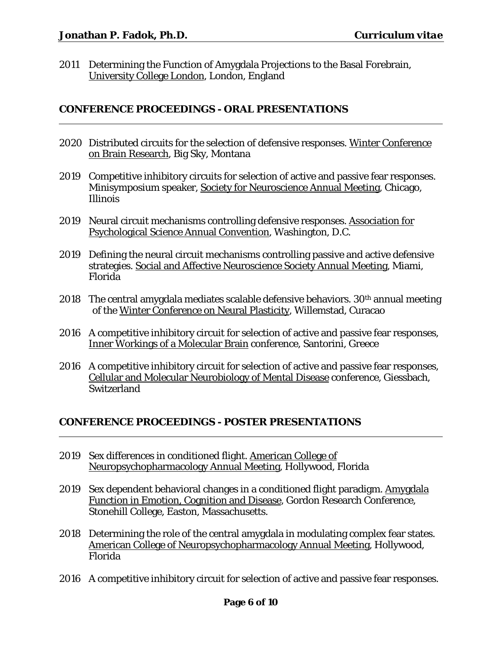2011 Determining the Function of Amygdala Projections to the Basal Forebrain, University College London, London, England

### **CONFERENCE PROCEEDINGS - ORAL PRESENTATIONS**

- 2020 Distributed circuits for the selection of defensive responses. Winter Conference on Brain Research, Big Sky, Montana
- 2019 Competitive inhibitory circuits for selection of active and passive fear responses. Minisymposium speaker, Society for Neuroscience Annual Meeting, Chicago, Illinois
- 2019 Neural circuit mechanisms controlling defensive responses. Association for Psychological Science Annual Convention, Washington, D.C.
- 2019 Defining the neural circuit mechanisms controlling passive and active defensive strategies. Social and Affective Neuroscience Society Annual Meeting, Miami, Florida
- 2018 The central amygdala mediates scalable defensive behaviors.  $30<sup>th</sup>$  annual meeting of the Winter Conference on Neural Plasticity, Willemstad, Curacao
- 2016 A competitive inhibitory circuit for selection of active and passive fear responses, Inner Workings of a Molecular Brain conference, Santorini, Greece
- 2016 A competitive inhibitory circuit for selection of active and passive fear responses, Cellular and Molecular Neurobiology of Mental Disease conference, Giessbach, **Switzerland**

### **CONFERENCE PROCEEDINGS - POSTER PRESENTATIONS**

- 2019 Sex differences in conditioned flight. American College of Neuropsychopharmacology Annual Meeting, Hollywood, Florida
- 2019 Sex dependent behavioral changes in a conditioned flight paradigm. Amygdala Function in Emotion, Cognition and Disease, Gordon Research Conference, Stonehill College, Easton, Massachusetts.
- 2018 Determining the role of the central amygdala in modulating complex fear states. American College of Neuropsychopharmacology Annual Meeting, Hollywood, Florida
- 2016 A competitive inhibitory circuit for selection of active and passive fear responses.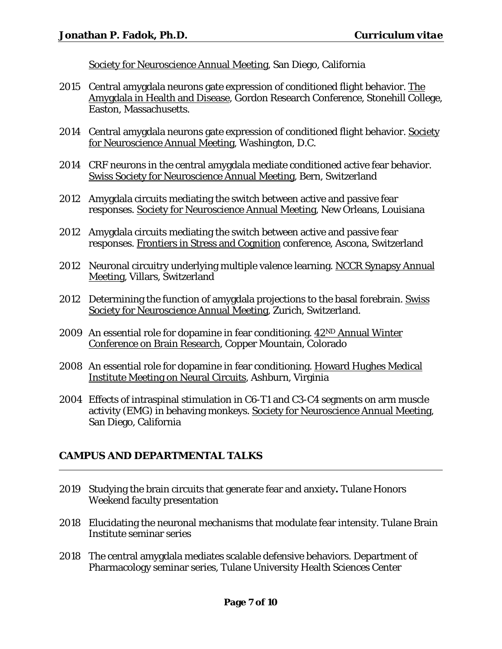Society for Neuroscience Annual Meeting, San Diego, California

- 2015 Central amygdala neurons gate expression of conditioned flight behavior. The Amygdala in Health and Disease, Gordon Research Conference, Stonehill College, Easton, Massachusetts.
- 2014 Central amygdala neurons gate expression of conditioned flight behavior. Society for Neuroscience Annual Meeting, Washington, D.C.
- 2014 CRF neurons in the central amygdala mediate conditioned active fear behavior. Swiss Society for Neuroscience Annual Meeting, Bern, Switzerland
- 2012 Amygdala circuits mediating the switch between active and passive fear responses. Society for Neuroscience Annual Meeting, New Orleans, Louisiana
- 2012 Amygdala circuits mediating the switch between active and passive fear responses. Frontiers in Stress and Cognition conference, Ascona, Switzerland
- 2012 Neuronal circuitry underlying multiple valence learning. NCCR Synapsy Annual Meeting, Villars, Switzerland
- 2012 Determining the function of amygdala projections to the basal forebrain. Swiss Society for Neuroscience Annual Meeting, Zurich, Switzerland.
- 2009 An essential role for dopamine in fear conditioning. 42ND Annual Winter Conference on Brain Research, Copper Mountain, Colorado
- 2008 An essential role for dopamine in fear conditioning. Howard Hughes Medical Institute Meeting on Neural Circuits, Ashburn, Virginia
- 2004 Effects of intraspinal stimulation in C6-T1 and C3-C4 segments on arm muscle activity (EMG) in behaving monkeys. Society for Neuroscience Annual Meeting, San Diego, California

# **CAMPUS AND DEPARTMENTAL TALKS**

- 2019 Studying the brain circuits that generate fear and anxiety**.** Tulane Honors Weekend faculty presentation
- 2018 Elucidating the neuronal mechanisms that modulate fear intensity. Tulane Brain Institute seminar series
- 2018 The central amygdala mediates scalable defensive behaviors. Department of Pharmacology seminar series, Tulane University Health Sciences Center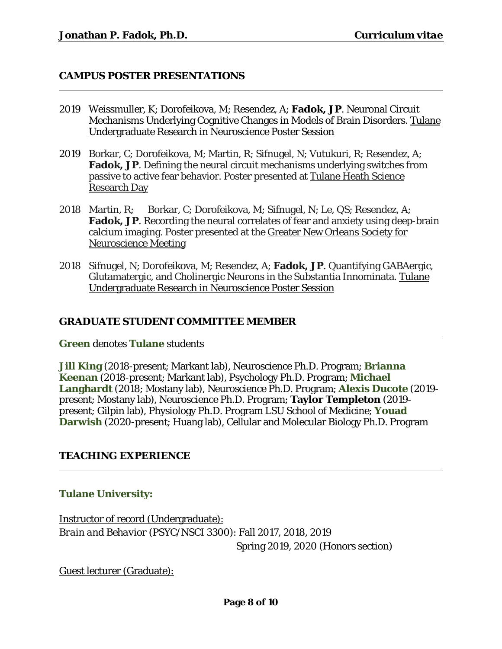### **CAMPUS POSTER PRESENTATIONS**

- 2019 Weissmuller, K; Dorofeikova, M; Resendez, A; **Fadok, JP**. Neuronal Circuit Mechanisms Underlying Cognitive Changes in Models of Brain Disorders. Tulane Undergraduate Research in Neuroscience Poster Session
- 2019 Borkar, C; Dorofeikova, M; Martin, R; Sifnugel, N; Vutukuri, R; Resendez, A; **Fadok, JP**. Defining the neural circuit mechanisms underlying switches from passive to active fear behavior. Poster presented at Tulane Heath Science Research Day
- 2018 Martin, R; Borkar, C; Dorofeikova, M; Sifnugel, N; Le, QS; Resendez, A; **Fadok, JP**. Recording the neural correlates of fear and anxiety using deep-brain calcium imaging. Poster presented at the Greater New Orleans Society for Neuroscience Meeting
- 2018 Sifnugel, N; Dorofeikova, M; Resendez, A; **Fadok, JP**. Quantifying GABAergic, Glutamatergic, and Cholinergic Neurons in the Substantia Innominata. Tulane Undergraduate Research in Neuroscience Poster Session

## **GRADUATE STUDENT COMMITTEE MEMBER**

**Green** denotes **Tulane** students

**Jill King** (2018-present; Markant lab), Neuroscience Ph.D. Program; **Brianna Keenan** (2018-present; Markant lab), Psychology Ph.D. Program; **Michael Langhardt** (2018; Mostany lab), Neuroscience Ph.D. Program; **Alexis Ducote** (2019 present; Mostany lab), Neuroscience Ph.D. Program; **Taylor Templeton** (2019 present; Gilpin lab), Physiology Ph.D. Program LSU School of Medicine; **Youad**  Darwish (2020-present; Huang lab), Cellular and Molecular Biology Ph.D. Program

### **TEACHING EXPERIENCE**

### **Tulane University:**

Instructor of record (Undergraduate): *Brain and Behavior* (PSYC/NSCI 3300): Fall 2017, 2018, 2019 Spring 2019, 2020 (Honors section)

Guest lecturer (Graduate):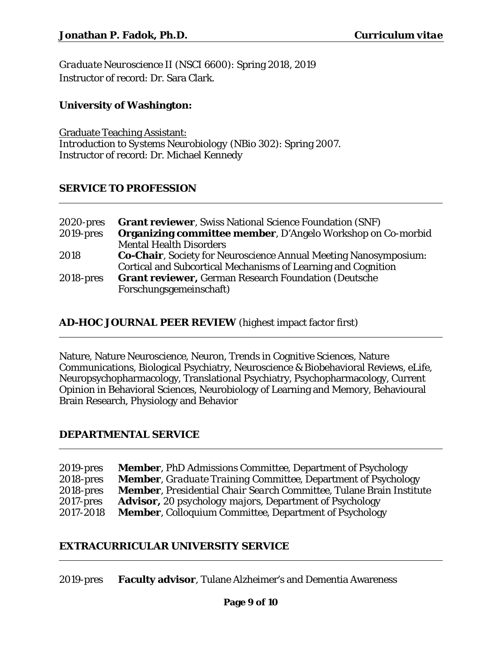*Graduate Neuroscience II* (NSCI 6600): Spring 2018, 2019 Instructor of record: Dr. Sara Clark.

# **University of Washington:**

Graduate Teaching Assistant: *Introduction to Systems Neurobiology* (NBio 302): Spring 2007. Instructor of record: Dr. Michael Kennedy

### **SERVICE TO PROFESSION**

| 2020-pres    | <b>Grant reviewer, Swiss National Science Foundation (SNF)</b>           |
|--------------|--------------------------------------------------------------------------|
| $2019$ -pres | <b>Organizing committee member, D'Angelo Workshop on Co-morbid</b>       |
|              | <b>Mental Health Disorders</b>                                           |
| 2018         | <b>Co-Chair</b> , Society for Neuroscience Annual Meeting Nanosymposium: |
|              | Cortical and Subcortical Mechanisms of Learning and Cognition            |
| $2018$ -pres | <b>Grant reviewer, German Research Foundation (Deutsche</b>              |
|              | Forschungsgemeinschaft)                                                  |

# **AD-HOC JOURNAL PEER REVIEW** (highest impact factor first)

Nature, Nature Neuroscience, Neuron, Trends in Cognitive Sciences, Nature Communications, Biological Psychiatry, Neuroscience & Biobehavioral Reviews, eLife, Neuropsychopharmacology, Translational Psychiatry, Psychopharmacology, Current Opinion in Behavioral Sciences, Neurobiology of Learning and Memory, Behavioural Brain Research, Physiology and Behavior

### **DEPARTMENTAL SERVICE**

| $2019$ -pres | <b>Member, PhD Admissions Committee, Department of Psychology</b>                   |
|--------------|-------------------------------------------------------------------------------------|
| $2018$ -pres | <b>Member, Graduate Training Committee, Department of Psychology</b>                |
| $2018$ -pres | <b>Member</b> , <i>Presidential Chair Search Committee</i> , Tulane Brain Institute |
| $2017$ -pres | <b>Advisor, 20 psychology majors, Department of Psychology</b>                      |
| 2017-2018    | <b>Member, Colloquium Committee, Department of Psychology</b>                       |

### **EXTRACURRICULAR UNIVERSITY SERVICE**

2019-pres **Faculty advisor**, Tulane Alzheimer's and Dementia Awareness